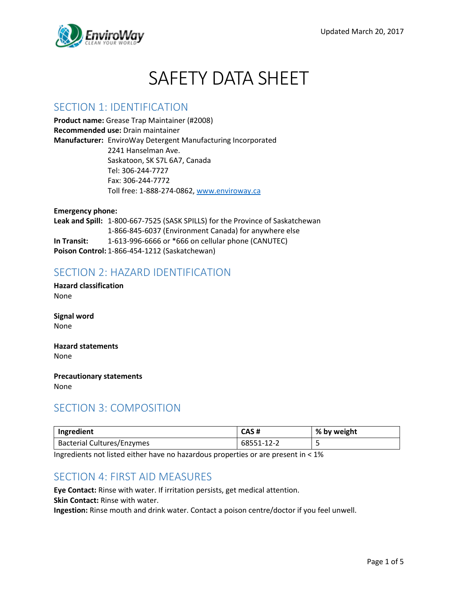

# SAFETY DATA SHEET

### SECTION 1: IDENTIFICATION

**Product name:** Grease Trap Maintainer (#2008) **Recommended use:** Drain maintainer **Manufacturer:** EnviroWay Detergent Manufacturing Incorporated 2241 Hanselman Ave. Saskatoon, SK S7L 6A7, Canada Tel: 306-244-7727 Fax: 306-244-7772 Toll free: 1-888-274-0862, [www.enviroway.ca](http://www.enviroway.ca/)

**Emergency phone: Leak and Spill:** 1-800-667-7525 (SASK SPILLS) for the Province of Saskatchewan 1-866-845-6037 (Environment Canada) for anywhere else **In Transit:** 1-613-996-6666 or \*666 on cellular phone (CANUTEC) **Poison Control:** 1-866-454-1212 (Saskatchewan)

### SECTION 2: HAZARD IDENTIFICATION

**Hazard classification** None

**Signal word** None

**Hazard statements** None

**Precautionary statements** None

## SECTION 3: COMPOSITION

| Ingredient                        | CAS#       | % by weight |
|-----------------------------------|------------|-------------|
| <b>Bacterial Cultures/Enzymes</b> | 68551-12-2 |             |

Ingredients not listed either have no hazardous properties or are present in < 1%

## SECTION 4: FIRST AID MEASURES

**Eye Contact:** Rinse with water. If irritation persists, get medical attention. **Skin Contact:** Rinse with water.

**Ingestion:** Rinse mouth and drink water. Contact a poison centre/doctor if you feel unwell.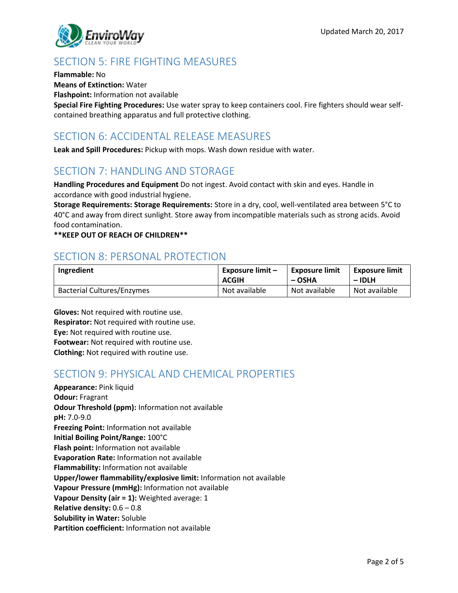

# SECTION 5: FIRE FIGHTING MEASURES

**Flammable:** No

**Means of Extinction:** Water

**Flashpoint:** Information not available

**Special Fire Fighting Procedures:** Use water spray to keep containers cool. Fire fighters should wear selfcontained breathing apparatus and full protective clothing.

# SECTION 6: ACCIDENTAL RELEASE MEASURES

**Leak and Spill Procedures:** Pickup with mops. Wash down residue with water.

# SECTION 7: HANDLING AND STORAGE

**Handling Procedures and Equipment** Do not ingest. Avoid contact with skin and eyes. Handle in accordance with good industrial hygiene.

**Storage Requirements: Storage Requirements:** Store in a dry, cool, well-ventilated area between 5°C to 40°C and away from direct sunlight. Store away from incompatible materials such as strong acids. Avoid food contamination.

**\*\*KEEP OUT OF REACH OF CHILDREN\*\***

# SECTION 8: PERSONAL PROTECTION

| Ingredient                        | <b>Exposure limit -</b> | <b>Exposure limit</b> | <b>Exposure limit</b> |
|-----------------------------------|-------------------------|-----------------------|-----------------------|
|                                   | <b>ACGIH</b>            | – OSHA                | $-IDLH$               |
| <b>Bacterial Cultures/Enzymes</b> | Not available           | Not available         | Not available         |

**Gloves:** Not required with routine use. **Respirator:** Not required with routine use. **Eye:** Not required with routine use. **Footwear:** Not required with routine use. **Clothing:** Not required with routine use.

# SECTION 9: PHYSICAL AND CHEMICAL PROPERTIES

**Appearance:** Pink liquid **Odour:** Fragrant **Odour Threshold (ppm):** Information not available **pH:** 7.0-9.0 **Freezing Point:** Information not available **Initial Boiling Point/Range:** 100°C **Flash point:** Information not available **Evaporation Rate:** Information not available **Flammability:** Information not available **Upper/lower flammability/explosive limit:** Information not available **Vapour Pressure (mmHg):** Information not available **Vapour Density (air = 1):** Weighted average: 1 **Relative density:** 0.6 – 0.8 **Solubility in Water:** Soluble **Partition coefficient:** Information not available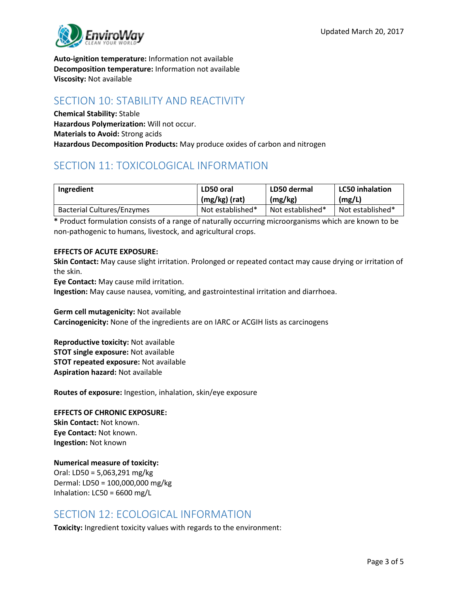

**Auto-ignition temperature:** Information not available **Decomposition temperature:** Information not available **Viscosity:** Not available

## SECTION 10: STABILITY AND REACTIVITY

**Chemical Stability:** Stable **Hazardous Polymerization:** Will not occur. **Materials to Avoid:** Strong acids **Hazardous Decomposition Products:** May produce oxides of carbon and nitrogen

# SECTION 11: TOXICOLOGICAL INFORMATION

| Ingredient                        | LD50 oral        | LD50 dermal      | <b>LC50 inhalation</b> |
|-----------------------------------|------------------|------------------|------------------------|
|                                   | (mg/kg) (rat)    | (mg/kg)          | (mg/L)                 |
| <b>Bacterial Cultures/Enzymes</b> | Not established* | Not established* | Not established*       |

**\*** Product formulation consists of a range of naturally occurring microorganisms which are known to be non-pathogenic to humans, livestock, and agricultural crops.

#### **EFFECTS OF ACUTE EXPOSURE:**

**Skin Contact:** May cause slight irritation. Prolonged or repeated contact may cause drying or irritation of the skin.

**Eye Contact:** May cause mild irritation.

**Ingestion:** May cause nausea, vomiting, and gastrointestinal irritation and diarrhoea.

**Germ cell mutagenicity:** Not available

**Carcinogenicity:** None of the ingredients are on IARC or ACGIH lists as carcinogens

**Reproductive toxicity:** Not available **STOT single exposure:** Not available **STOT repeated exposure:** Not available **Aspiration hazard:** Not available

**Routes of exposure:** Ingestion, inhalation, skin/eye exposure

#### **EFFECTS OF CHRONIC EXPOSURE:**

**Skin Contact:** Not known. **Eye Contact:** Not known. **Ingestion:** Not known

#### **Numerical measure of toxicity:**

Oral: LD50 = 5,063,291 mg/kg Dermal: LD50 = 100,000,000 mg/kg Inhalation: LC50 = 6600 mg/L

#### SECTION 12: ECOLOGICAL INFORMATION

**Toxicity:** Ingredient toxicity values with regards to the environment: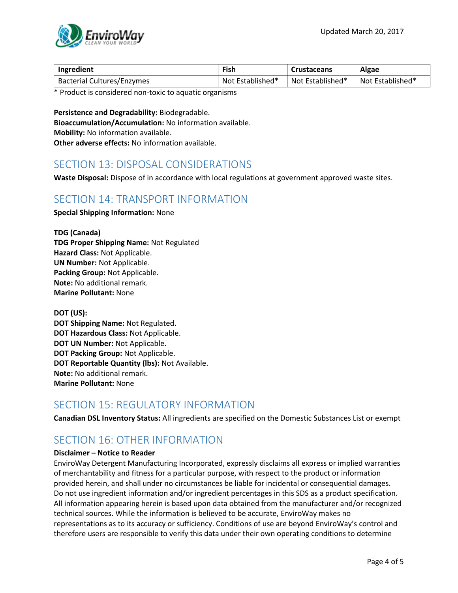

| Ingredient                        | Fish             | <b>Crustaceans</b> | Algae            |
|-----------------------------------|------------------|--------------------|------------------|
| <b>Bacterial Cultures/Enzymes</b> | Not Established* | Not Established*   | Not Established* |

\* Product is considered non-toxic to aquatic organisms

**Persistence and Degradability:** Biodegradable. **Bioaccumulation/Accumulation:** No information available. **Mobility:** No information available. **Other adverse effects:** No information available.

## SECTION 13: DISPOSAL CONSIDERATIONS

**Waste Disposal:** Dispose of in accordance with local regulations at government approved waste sites.

#### SECTION 14: TRANSPORT INFORMATION

**Special Shipping Information:** None

**TDG (Canada) TDG Proper Shipping Name:** Not Regulated **Hazard Class:** Not Applicable. **UN Number:** Not Applicable. **Packing Group:** Not Applicable. **Note:** No additional remark. **Marine Pollutant:** None

**DOT (US): DOT Shipping Name:** Not Regulated. **DOT Hazardous Class:** Not Applicable. **DOT UN Number:** Not Applicable. **DOT Packing Group:** Not Applicable. **DOT Reportable Quantity (lbs):** Not Available. **Note:** No additional remark. **Marine Pollutant:** None

# SECTION 15: REGULATORY INFORMATION

**Canadian DSL Inventory Status:** All ingredients are specified on the Domestic Substances List or exempt

# SECTION 16: OTHER INFORMATION

#### **Disclaimer – Notice to Reader**

EnviroWay Detergent Manufacturing Incorporated, expressly disclaims all express or implied warranties of merchantability and fitness for a particular purpose, with respect to the product or information provided herein, and shall under no circumstances be liable for incidental or consequential damages. Do not use ingredient information and/or ingredient percentages in this SDS as a product specification. All information appearing herein is based upon data obtained from the manufacturer and/or recognized technical sources. While the information is believed to be accurate, EnviroWay makes no representations as to its accuracy or sufficiency. Conditions of use are beyond EnviroWay's control and therefore users are responsible to verify this data under their own operating conditions to determine